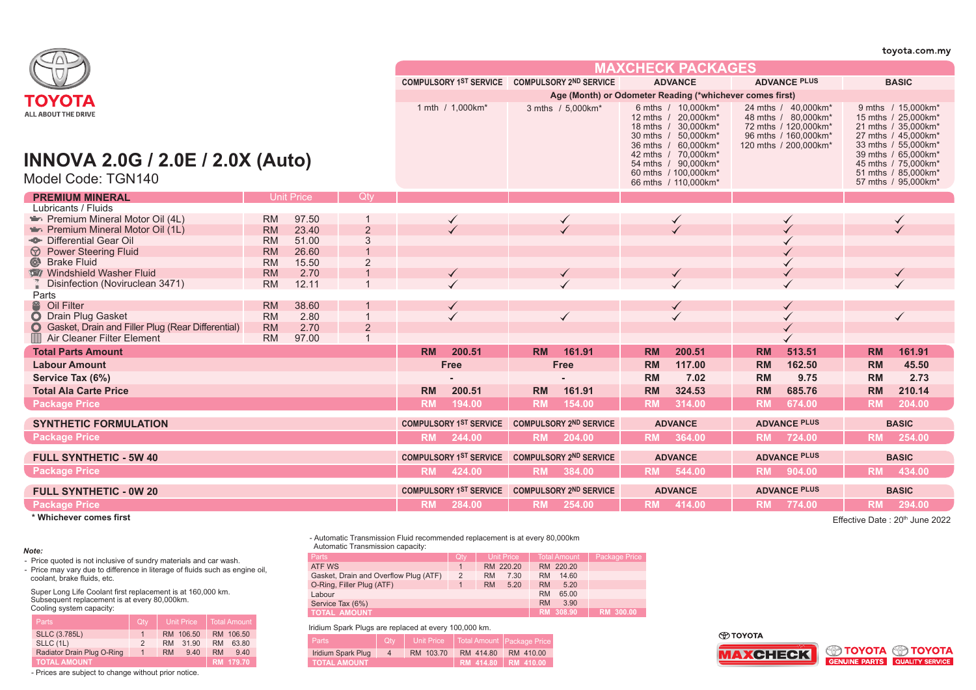|                                                                       |                        |                   |                |                  |                                               |                   |                                                          |                                                                                                                                       |                          |                                                                                                                      |                     |                                                                                                                                                    | toyota.com.my                              |
|-----------------------------------------------------------------------|------------------------|-------------------|----------------|------------------|-----------------------------------------------|-------------------|----------------------------------------------------------|---------------------------------------------------------------------------------------------------------------------------------------|--------------------------|----------------------------------------------------------------------------------------------------------------------|---------------------|----------------------------------------------------------------------------------------------------------------------------------------------------|--------------------------------------------|
|                                                                       |                        |                   |                |                  |                                               |                   |                                                          |                                                                                                                                       | <b>MAXCHECK PACKAGES</b> |                                                                                                                      |                     |                                                                                                                                                    |                                            |
|                                                                       |                        |                   |                |                  | COMPULSORY 1ST SERVICE COMPULSORY 2ND SERVICE |                   |                                                          |                                                                                                                                       | <b>ADVANCE</b>           |                                                                                                                      | <b>ADVANCE PLUS</b> |                                                                                                                                                    | <b>BASIC</b>                               |
| ΤΟΥΟΤΑ                                                                |                        |                   |                |                  |                                               |                   | Age (Month) or Odometer Reading (*whichever comes first) |                                                                                                                                       |                          |                                                                                                                      |                     |                                                                                                                                                    |                                            |
| <b>ALL ABOUT THE DRIVE</b><br><b>INNOVA 2.0G / 2.0E / 2.0X (Auto)</b> |                        |                   |                | 1 mth / 1,000km* |                                               | 3 mths / 5.000km* |                                                          | 6 mths / 10,000km*<br>12 mths / 20,000km*<br>18 mths / 30.000km*<br>30 mths / 50.000km*<br>36 mths / 60,000km*<br>42 mths / 70.000km* |                          | 24 mths / 40.000 km*<br>48 mths / 80,000km*<br>72 mths / 120.000km*<br>96 mths / 160.000km*<br>120 mths / 200,000km* |                     | 9 mths / 15.000 km <sup>*</sup><br>15 mths / 25,000km*<br>21 mths / 35.000km*<br>27 mths / 45.000km*<br>33 mths / 55,000km*<br>39 mths / 65,000km* |                                            |
| Model Code: TGN140                                                    |                        |                   |                |                  |                                               |                   |                                                          | 54 mths / 90,000km*<br>60 mths / 100.000 km*<br>66 mths / 110,000km*                                                                  |                          |                                                                                                                      |                     | 45 mths / 75,000km*<br>51 mths / 85.000km*<br>57 mths / 95,000km*                                                                                  |                                            |
| <b>PREMIUM MINERAL</b>                                                |                        | <b>Unit Price</b> | <b>Otv</b>     |                  |                                               |                   |                                                          |                                                                                                                                       |                          |                                                                                                                      |                     |                                                                                                                                                    |                                            |
| Lubricants / Fluids                                                   |                        |                   |                |                  |                                               |                   |                                                          |                                                                                                                                       |                          |                                                                                                                      |                     |                                                                                                                                                    |                                            |
| Premium Mineral Motor Oil (4L)                                        | <b>RM</b>              | 97.50             |                |                  |                                               |                   |                                                          |                                                                                                                                       |                          |                                                                                                                      |                     |                                                                                                                                                    |                                            |
| Premium Mineral Motor Oil (1L)                                        | <b>RM</b>              | 23.40             | $\overline{2}$ |                  |                                               |                   |                                                          |                                                                                                                                       |                          |                                                                                                                      |                     |                                                                                                                                                    |                                            |
| Differential Gear Oil                                                 | <b>RM</b>              | 51.00             | 3              |                  |                                               |                   |                                                          |                                                                                                                                       |                          |                                                                                                                      |                     |                                                                                                                                                    |                                            |
| <b><i>V</i></b> Power Steering Fluid                                  | <b>RM</b>              | 26.60             | $\overline{1}$ |                  |                                               |                   |                                                          |                                                                                                                                       |                          |                                                                                                                      |                     |                                                                                                                                                    |                                            |
| Strake Fluid                                                          | <b>RM</b>              | 15.50             | $\overline{2}$ |                  |                                               |                   |                                                          |                                                                                                                                       |                          |                                                                                                                      |                     |                                                                                                                                                    |                                            |
| Windshield Washer Fluid<br>Disinfection (Noviruclean 3471)            | <b>RM</b><br><b>RM</b> | 2.70<br>12.11     |                |                  |                                               |                   |                                                          |                                                                                                                                       |                          |                                                                                                                      |                     |                                                                                                                                                    |                                            |
| Parts                                                                 |                        |                   |                |                  |                                               |                   |                                                          |                                                                                                                                       |                          |                                                                                                                      |                     |                                                                                                                                                    |                                            |
| <sup>2</sup> Oil Filter                                               | <b>RM</b>              | 38.60             |                |                  |                                               |                   |                                                          |                                                                                                                                       |                          |                                                                                                                      |                     |                                                                                                                                                    |                                            |
| O Drain Plug Gasket                                                   | <b>RM</b>              | 2.80              | $\mathbf{1}$   |                  |                                               | $\checkmark$      |                                                          |                                                                                                                                       |                          |                                                                                                                      |                     |                                                                                                                                                    | $\checkmark$                               |
| <b>O</b> Gasket, Drain and Filler Plug (Rear Differential)            | <b>RM</b>              | 2.70              | $\overline{2}$ |                  |                                               |                   |                                                          |                                                                                                                                       |                          |                                                                                                                      |                     |                                                                                                                                                    |                                            |
| Air Cleaner Filter Element                                            | <b>RM</b>              | 97.00             | $\mathbf{1}$   |                  |                                               |                   |                                                          |                                                                                                                                       |                          |                                                                                                                      |                     |                                                                                                                                                    |                                            |
| <b>Total Parts Amount</b>                                             |                        |                   |                | <b>RM</b>        | 200.51                                        | <b>RM</b>         | 161.91                                                   | <b>RM</b>                                                                                                                             | 200.51                   | <b>RM</b>                                                                                                            | 513.51              | <b>RM</b>                                                                                                                                          | 161.91                                     |
| <b>Labour Amount</b>                                                  |                        |                   |                |                  | <b>Free</b>                                   |                   | <b>Free</b>                                              | <b>RM</b>                                                                                                                             | 117.00                   | <b>RM</b>                                                                                                            | 162.50              | <b>RM</b>                                                                                                                                          | 45.50                                      |
| Service Tax (6%)                                                      |                        |                   |                |                  |                                               |                   |                                                          | <b>RM</b>                                                                                                                             | 7.02                     | <b>RM</b>                                                                                                            | 9.75                | RM                                                                                                                                                 | 2.73                                       |
| <b>Total Ala Carte Price</b>                                          |                        |                   |                | <b>RM</b>        | 200.51                                        | <b>RM</b>         | 161.91                                                   | <b>RM</b>                                                                                                                             | 324.53                   | <b>RM</b>                                                                                                            | 685.76              | <b>RM</b>                                                                                                                                          | 210.14                                     |
| <b>Package Price</b>                                                  |                        |                   |                | <b>RM</b>        | 194.00                                        | <b>RM</b>         | 154.00                                                   | <b>RM</b>                                                                                                                             | 314.00                   | <b>RM</b>                                                                                                            | 674.00              | <b>RM</b>                                                                                                                                          | 204.00                                     |
|                                                                       |                        |                   |                |                  |                                               |                   |                                                          |                                                                                                                                       |                          |                                                                                                                      |                     |                                                                                                                                                    |                                            |
| <b>SYNTHETIC FORMULATION</b>                                          |                        |                   |                |                  | <b>COMPULSORY 1ST SERVICE</b>                 |                   | <b>COMPULSORY 2ND SERVICE</b>                            |                                                                                                                                       | <b>ADVANCE</b>           |                                                                                                                      | <b>ADVANCE PLUS</b> |                                                                                                                                                    | <b>BASIC</b>                               |
| <b>Package Price</b>                                                  |                        |                   |                |                  | RM 244.00                                     |                   | RM 204.00                                                |                                                                                                                                       | RM 364.00                |                                                                                                                      | RM 724.00           | <b>RM</b>                                                                                                                                          | 254.00                                     |
| <b>FULL SYNTHETIC - 5W 40</b>                                         |                        |                   |                |                  | <b>COMPULSORY 1ST SERVICE</b>                 |                   | <b>COMPULSORY 2ND SERVICE</b>                            |                                                                                                                                       | <b>ADVANCE</b>           |                                                                                                                      | <b>ADVANCE PLUS</b> |                                                                                                                                                    | <b>BASIC</b>                               |
| <b>Package Price</b>                                                  |                        |                   |                | <b>RM</b>        | 424.00                                        |                   | RM 384.00                                                |                                                                                                                                       | RM 544.00                |                                                                                                                      | RM 904.00           | <b>RM</b>                                                                                                                                          | 434.00                                     |
| <b>FULL SYNTHETIC - 0W 20</b>                                         |                        |                   |                |                  | COMPULSORY 1ST SERVICE COMPULSORY 2ND SERVICE |                   |                                                          |                                                                                                                                       | <b>ADVANCE</b>           |                                                                                                                      | <b>ADVANCE PLUS</b> |                                                                                                                                                    | <b>BASIC</b>                               |
| <b>Package Price</b>                                                  |                        |                   |                | <b>RM</b>        | 284.00                                        | <b>RM</b>         | 254.00                                                   | <b>RM</b>                                                                                                                             | 414.00                   | <b>RM</b>                                                                                                            | 774.00              | <b>RM</b>                                                                                                                                          | 294.00                                     |
| * Whichever comes first                                               |                        |                   |                |                  |                                               |                   |                                                          |                                                                                                                                       |                          |                                                                                                                      |                     |                                                                                                                                                    | Effective Date: 20 <sup>th</sup> June 2022 |

## *Note:*

- Price quoted is not inclusive of sundry materials and car wash.<br>- Price may vary due to difference in literage of fluids such as engine oil, coolant, brake fluids, etc.

Super Long Life Coolant first replacement is at 160,000 km. Subsequent replacement is at every 80,000km. Cooling system capacity:

| <b>Parts</b>               | Qtv           |           | Unit Price | <b>Total Amount</b> |                  |  |  |  |
|----------------------------|---------------|-----------|------------|---------------------|------------------|--|--|--|
| <b>SLLC (3.785L)</b>       | $\vert$ 1     |           | RM 106.50  |                     | RM 106.50        |  |  |  |
| SLLC (1L)                  | $\mathcal{P}$ | <b>RM</b> | 31.90      | <b>RM</b>           | 63.80            |  |  |  |
| Radiator Drain Plug O-Ring | 1             | <b>RM</b> | 9.40       | <b>RM</b>           | 9.40             |  |  |  |
| <b>TOTAL AMOUNT</b>        |               |           |            |                     | <b>RM 179.70</b> |  |  |  |

- Prices are subject to change without prior notice.

- Automatic Transmission Fluid recommended replacement is at every 80,000km

| Automatic Transmission capacity: |
|----------------------------------|
|----------------------------------|

| Parts                                 | Qty            | Unit Price        | <b>Total Amount</b> | <b>Package Price</b> |
|---------------------------------------|----------------|-------------------|---------------------|----------------------|
| <b>ATF WS</b>                         |                | RM 220.20         | RM 220.20           |                      |
| Gasket, Drain and Overflow Plug (ATF) | $\overline{2}$ | 7.30<br><b>RM</b> | 14.60<br>RM.        |                      |
| O-Ring, Filler Plug (ATF)             |                | <b>RM</b><br>5.20 | <b>RM</b><br>5.20   |                      |
| Labour                                |                |                   | <b>RM</b><br>65.00  |                      |
| Service Tax (6%)                      |                |                   | <b>RM</b><br>3.90   |                      |
| <b>TOTAL AMOUNT</b>                   |                |                   | RM 308.90           | <b>RM 300.00</b>     |

Iridium Spark Plugs are replaced at every 100,000 km.

| Parts               | Otv            |           |                       | Unit Price   Total Amount   Package Price |
|---------------------|----------------|-----------|-----------------------|-------------------------------------------|
| Iridium Spark Plug  | $\overline{a}$ | RM 103.70 | RM 414.80             | RM 410.00                                 |
| <b>TOTAL AMOUNT</b> |                |           | RM 414.80   RM 410.00 |                                           |

# **O TOYOTA**



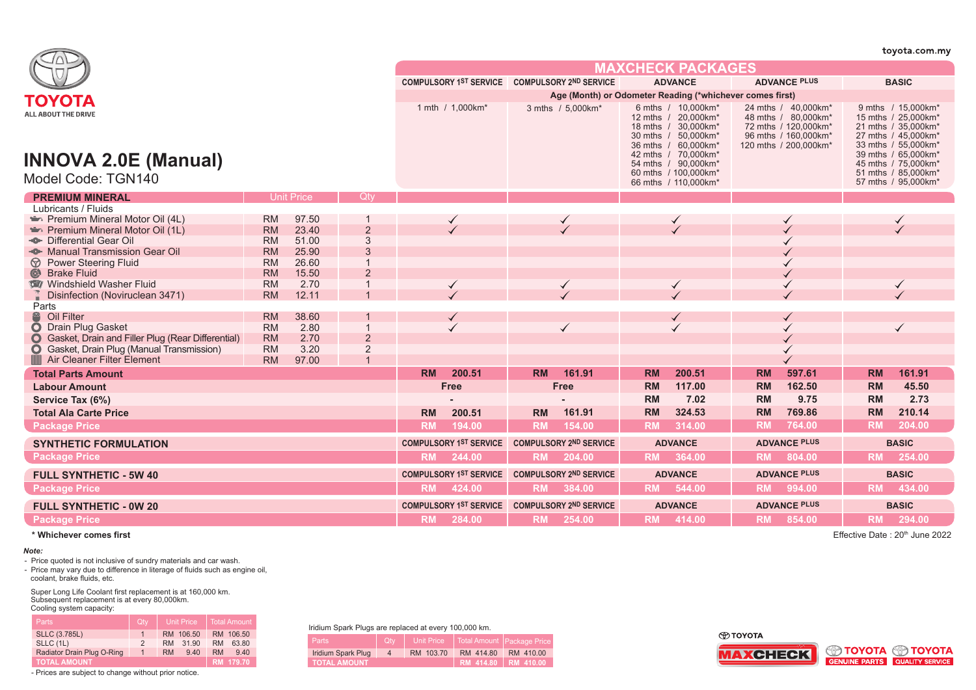|                                                                                       |                        |                   |                |           |                                               |           |                                                          |           |                                                                                                                                        |           |                                                                                                                     |           | toyota.com.my                                                                                                                         |
|---------------------------------------------------------------------------------------|------------------------|-------------------|----------------|-----------|-----------------------------------------------|-----------|----------------------------------------------------------|-----------|----------------------------------------------------------------------------------------------------------------------------------------|-----------|---------------------------------------------------------------------------------------------------------------------|-----------|---------------------------------------------------------------------------------------------------------------------------------------|
|                                                                                       |                        |                   |                |           |                                               |           |                                                          |           | <b>MAXCHECK PACKAGES</b>                                                                                                               |           |                                                                                                                     |           |                                                                                                                                       |
|                                                                                       |                        |                   |                |           | COMPULSORY 1ST SERVICE COMPULSORY 2ND SERVICE |           |                                                          |           | <b>ADVANCE</b>                                                                                                                         |           | <b>ADVANCE PLUS</b>                                                                                                 |           | <b>BASIC</b>                                                                                                                          |
| ΤΟΥΟΤΑ                                                                                |                        |                   |                |           |                                               |           | Age (Month) or Odometer Reading (*whichever comes first) |           |                                                                                                                                        |           |                                                                                                                     |           |                                                                                                                                       |
| <b>ALL ABOUT THE DRIVE</b>                                                            |                        |                   |                |           | 1 mth / 1,000km*                              |           | 3 mths / 5,000km*                                        |           | 6 mths / 10,000 km*<br>12 mths / 20,000km*<br>18 mths / 30,000km*<br>30 mths / 50,000km*<br>36 mths / 60,000km*<br>42 mths / 70.000km* |           | 24 mths / 40,000km*<br>48 mths / 80,000km*<br>72 mths / 120,000km*<br>96 mths / 160,000km*<br>120 mths / 200,000km* |           | 9 mths / 15,000km*<br>15 mths / 25,000km*<br>21 mths / 35,000km*<br>27 mths / 45,000km*<br>33 mths / 55,000km*<br>39 mths / 65,000km* |
| <b>INNOVA 2.0E (Manual)</b><br>Model Code: TGN140                                     |                        |                   |                |           |                                               |           |                                                          |           | 54 mths / 90,000km*<br>60 mths / 100,000km*<br>66 mths / 110,000km*                                                                    |           |                                                                                                                     |           | 45 mths / 75,000km*<br>51 mths / 85,000km*<br>57 mths / 95,000km*                                                                     |
| <b>PREMIUM MINERAL</b>                                                                |                        | <b>Unit Price</b> | -Qty           |           |                                               |           |                                                          |           |                                                                                                                                        |           |                                                                                                                     |           |                                                                                                                                       |
| Lubricants / Fluids                                                                   |                        |                   |                |           |                                               |           |                                                          |           |                                                                                                                                        |           |                                                                                                                     |           |                                                                                                                                       |
| Premium Mineral Motor Oil (4L)                                                        | <b>RM</b>              | 97.50             |                |           | ✓                                             |           | $\checkmark$                                             |           | $\checkmark$                                                                                                                           |           |                                                                                                                     |           | $\checkmark$                                                                                                                          |
| Premium Mineral Motor Oil (1L)                                                        | <b>RM</b>              | 23.40             | $\overline{2}$ |           |                                               |           |                                                          |           |                                                                                                                                        |           |                                                                                                                     |           |                                                                                                                                       |
| <sup>46</sup> Differential Gear Oil                                                   | <b>RM</b>              | 51.00             | 3              |           |                                               |           |                                                          |           |                                                                                                                                        |           |                                                                                                                     |           |                                                                                                                                       |
| Manual Transmission Gear Oil                                                          | <b>RM</b>              | 25.90             | $\mathbf{3}$   |           |                                               |           |                                                          |           |                                                                                                                                        |           |                                                                                                                     |           |                                                                                                                                       |
| $\circledcirc$<br><b>Power Steering Fluid</b><br>$\circledcirc$<br><b>Brake Fluid</b> | <b>RM</b><br><b>RM</b> | 26.60<br>15.50    | $\overline{2}$ |           |                                               |           |                                                          |           |                                                                                                                                        |           |                                                                                                                     |           |                                                                                                                                       |
| Windshield Washer Fluid                                                               | <b>RM</b>              | 2.70              |                |           |                                               |           |                                                          |           |                                                                                                                                        |           |                                                                                                                     |           | $\checkmark$                                                                                                                          |
| Disinfection (Noviruclean 3471)                                                       | <b>RM</b>              | 12.11             |                |           | $\checkmark$                                  |           | $\checkmark$                                             |           | $\checkmark$                                                                                                                           |           |                                                                                                                     |           |                                                                                                                                       |
| Parts                                                                                 |                        |                   |                |           |                                               |           |                                                          |           |                                                                                                                                        |           |                                                                                                                     |           |                                                                                                                                       |
| <sup>2</sup> Oil Filter                                                               | <b>RM</b>              | 38.60             |                |           | ✓                                             |           |                                                          |           | $\checkmark$                                                                                                                           |           | ✓                                                                                                                   |           |                                                                                                                                       |
| O Drain Plug Gasket                                                                   | <b>RM</b>              | 2.80              |                |           |                                               |           | $\checkmark$                                             |           |                                                                                                                                        |           |                                                                                                                     |           | $\checkmark$                                                                                                                          |
| <b>O</b> Gasket, Drain and Filler Plug (Rear Differential)                            | <b>RM</b>              | 2.70              | $\overline{2}$ |           |                                               |           |                                                          |           |                                                                                                                                        |           |                                                                                                                     |           |                                                                                                                                       |
| Gasket, Drain Plug (Manual Transmission)<br>$\bullet$                                 | <b>RM</b>              | 3.20              | $\overline{2}$ |           |                                               |           |                                                          |           |                                                                                                                                        |           |                                                                                                                     |           |                                                                                                                                       |
| Air Cleaner Filter Element                                                            | <b>RM</b>              | 97.00             |                |           |                                               |           |                                                          |           |                                                                                                                                        |           |                                                                                                                     |           |                                                                                                                                       |
| <b>Total Parts Amount</b>                                                             |                        |                   |                | <b>RM</b> | 200.51                                        | <b>RM</b> | 161.91                                                   | <b>RM</b> | 200.51                                                                                                                                 | <b>RM</b> | 597.61                                                                                                              | <b>RM</b> | 161.91                                                                                                                                |
| <b>Labour Amount</b>                                                                  |                        |                   |                |           | Free                                          |           | Free                                                     | <b>RM</b> | 117.00                                                                                                                                 | <b>RM</b> | 162.50                                                                                                              | <b>RM</b> | 45.50                                                                                                                                 |
| Service Tax (6%)                                                                      |                        |                   |                |           |                                               |           |                                                          | RM        | 7.02                                                                                                                                   | <b>RM</b> | 9.75                                                                                                                | RM        | 2.73                                                                                                                                  |
| <b>Total Ala Carte Price</b>                                                          |                        |                   |                | <b>RM</b> | 200.51                                        | <b>RM</b> | 161.91                                                   | <b>RM</b> | 324.53                                                                                                                                 | <b>RM</b> | 769.86                                                                                                              | <b>RM</b> | 210.14                                                                                                                                |
| <b>Package Price</b>                                                                  |                        |                   |                | <b>RM</b> | 194.00                                        | <b>RM</b> | 154.00                                                   | <b>RM</b> | 314.00                                                                                                                                 | <b>RM</b> | 764.00                                                                                                              | <b>RM</b> | 204.00                                                                                                                                |
| <b>SYNTHETIC FORMULATION</b>                                                          |                        |                   |                |           | <b>COMPULSORY 1ST SERVICE</b>                 |           | <b>COMPULSORY 2ND SERVICE</b>                            |           | <b>ADVANCE</b>                                                                                                                         |           | <b>ADVANCE PLUS</b>                                                                                                 |           | <b>BASIC</b>                                                                                                                          |
| <b>Package Price</b>                                                                  |                        |                   |                |           | RM 244.00                                     |           | RM 204.00                                                |           | RM 364.00                                                                                                                              |           | RM 804.00                                                                                                           |           | RM 254.00                                                                                                                             |
| <b>FULL SYNTHETIC - 5W 40</b>                                                         |                        |                   |                |           | COMPULSORY 1ST SERVICE COMPULSORY 2ND SERVICE |           |                                                          |           | <b>ADVANCE</b>                                                                                                                         |           | <b>ADVANCE PLUS</b>                                                                                                 |           | <b>BASIC</b>                                                                                                                          |
| <b>Package Price</b>                                                                  |                        |                   |                | <b>RM</b> | 424.00                                        |           | RM 384.00                                                |           | RM 544.00                                                                                                                              |           | RM 994.00                                                                                                           | <b>RM</b> | 434.00                                                                                                                                |
| <b>FULL SYNTHETIC - 0W 20</b>                                                         |                        |                   |                |           | <b>COMPULSORY 1ST SERVICE</b>                 |           | <b>COMPULSORY 2ND SERVICE</b>                            |           | <b>ADVANCE</b>                                                                                                                         |           | <b>ADVANCE PLUS</b>                                                                                                 |           | <b>BASIC</b>                                                                                                                          |
| <b>Package Price</b>                                                                  |                        |                   |                |           | RM 284.00                                     |           | RM 254.00                                                |           | RM 414.00                                                                                                                              |           | RM 854.00                                                                                                           |           | RM 294.00                                                                                                                             |

## *Note:*

- Price quoted is not inclusive of sundry materials and car wash.<br>- Price may vary due to difference in literage of fluids such as engine oil, coolant, brake fluids, etc.

Super Long Life Coolant first replacement is at 160,000 km. Subsequent replacement is at every 80,000km. Cooling system capacity:

| <b>Parts</b>               | Qty           | <b>Unit Price</b>  | Total Amount       |  |  |  |  |
|----------------------------|---------------|--------------------|--------------------|--|--|--|--|
| <b>SLLC (3.785L)</b>       |               | RM 106.50          | RM 106.50          |  |  |  |  |
| SLLC (1L)                  | $\mathcal{P}$ | 31.90<br><b>RM</b> | <b>RM</b><br>63.80 |  |  |  |  |
| Radiator Drain Plug O-Ring | 1             | 9.40<br><b>RM</b>  | <b>RM</b><br>940   |  |  |  |  |
| <b>TOTAL AMOUNT</b>        |               |                    | RM 179.70          |  |  |  |  |

- Prices are subject to change without prior notice.

Iridium Spark Plugs are replaced at every 100,000 km.

| maiam opain't lago are replaced at every rectoo itm. |                              |           |                                           |           |  |  |  |  |  |  |  |
|------------------------------------------------------|------------------------------|-----------|-------------------------------------------|-----------|--|--|--|--|--|--|--|
| Parts                                                | $\overline{\phantom{a}}$ Oty |           | Unit Price   Total Amount   Package Price |           |  |  |  |  |  |  |  |
| Iridium Spark Plug                                   | $4^{\circ}$                  | RM 103.70 | RM 414.80                                 | RM 410.00 |  |  |  |  |  |  |  |
| <b>TOTAL AMOUNT</b>                                  |                              |           | RM 414.80   RM 410.00                     |           |  |  |  |  |  |  |  |

**O TOYOTA** 





**\* Whichever comes first** Effective Date : 20th June 2022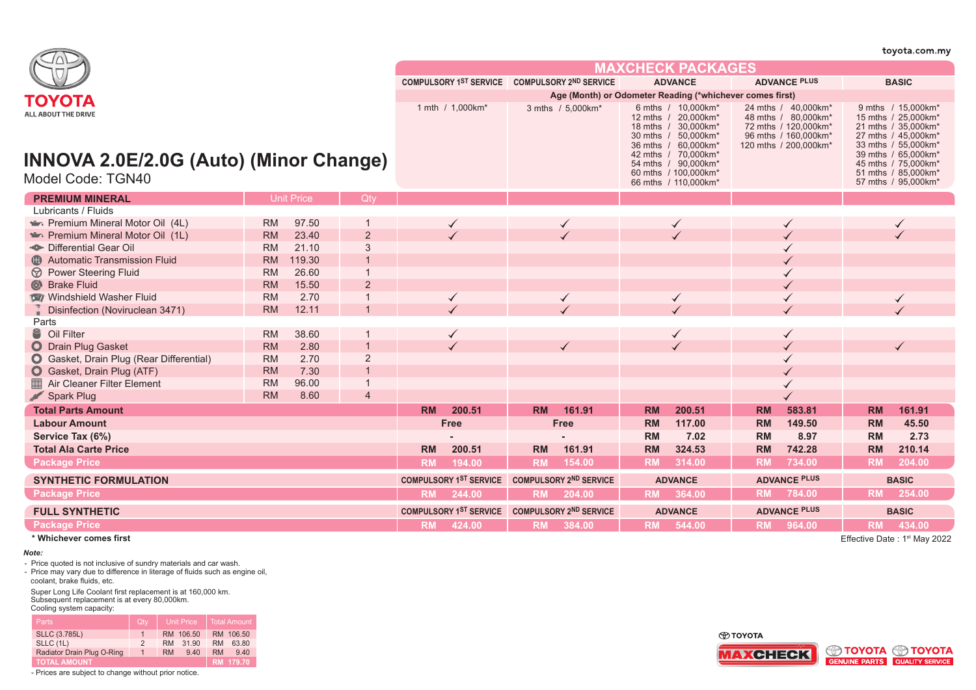|                                                                                                  |           |                   |                |                                               |                                               |                                                          |              |                                                                                                                                                                                                               |                          |                                                                                                                     | wyota.com.my        |                                                                                                                                                                                                            |              |  |
|--------------------------------------------------------------------------------------------------|-----------|-------------------|----------------|-----------------------------------------------|-----------------------------------------------|----------------------------------------------------------|--------------|---------------------------------------------------------------------------------------------------------------------------------------------------------------------------------------------------------------|--------------------------|---------------------------------------------------------------------------------------------------------------------|---------------------|------------------------------------------------------------------------------------------------------------------------------------------------------------------------------------------------------------|--------------|--|
|                                                                                                  |           |                   |                |                                               |                                               |                                                          |              |                                                                                                                                                                                                               | <b>MAXCHECK PACKAGES</b> |                                                                                                                     |                     |                                                                                                                                                                                                            |              |  |
|                                                                                                  |           |                   |                |                                               | COMPULSORY 1ST SERVICE COMPULSORY 2ND SERVICE |                                                          |              |                                                                                                                                                                                                               | <b>ADVANCE</b>           |                                                                                                                     | <b>ADVANCE PLUS</b> |                                                                                                                                                                                                            | <b>BASIC</b> |  |
| ΤΟΥΟΤΑ                                                                                           |           |                   |                |                                               |                                               | Age (Month) or Odometer Reading (*whichever comes first) |              |                                                                                                                                                                                                               |                          |                                                                                                                     |                     |                                                                                                                                                                                                            |              |  |
| <b>ALL ABOUT THE DRIVE</b><br><b>INNOVA 2.0E/2.0G (Auto) (Minor Change)</b><br>Model Code: TGN40 |           |                   |                | 1 mth / 1,000km*                              |                                               | 3 mths / 5,000km*                                        |              | 6 mths / 10,000 km*<br>12 mths / 20,000km*<br>18 mths / 30,000km*<br>30 mths / 50,000km*<br>36 mths / 60,000km*<br>42 mths / 70,000km*<br>54 mths / 90,000km*<br>60 mths / 100,000km*<br>66 mths / 110,000km* |                          | 24 mths / 40,000km*<br>48 mths / 80,000km*<br>72 mths / 120,000km*<br>96 mths / 160,000km*<br>120 mths / 200,000km* |                     | 9 mths / 15,000km*<br>15 mths / 25,000km*<br>21 mths / 35,000km*<br>27 mths / 45,000km*<br>33 mths / 55,000km*<br>39 mths / 65,000km*<br>45 mths / 75,000km*<br>51 mths / 85,000km*<br>57 mths / 95,000km* |              |  |
| <b>PREMIUM MINERAL</b>                                                                           |           | <b>Unit Price</b> | Qty            |                                               |                                               |                                                          |              |                                                                                                                                                                                                               |                          |                                                                                                                     |                     |                                                                                                                                                                                                            |              |  |
| Lubricants / Fluids                                                                              |           |                   |                |                                               |                                               |                                                          |              |                                                                                                                                                                                                               |                          |                                                                                                                     |                     |                                                                                                                                                                                                            |              |  |
| Premium Mineral Motor Oil (4L)                                                                   | <b>RM</b> | 97.50             |                |                                               |                                               |                                                          |              |                                                                                                                                                                                                               | $\checkmark$             |                                                                                                                     |                     |                                                                                                                                                                                                            | ✓            |  |
| Premium Mineral Motor Oil (1L)                                                                   | <b>RM</b> | 23.40             | $\overline{2}$ |                                               |                                               |                                                          |              |                                                                                                                                                                                                               |                          |                                                                                                                     |                     |                                                                                                                                                                                                            |              |  |
| Differential Gear Oil                                                                            | <b>RM</b> | 21.10             | 3              |                                               |                                               |                                                          |              |                                                                                                                                                                                                               |                          |                                                                                                                     |                     |                                                                                                                                                                                                            |              |  |
| <b>Automatic Transmission Fluid</b>                                                              | <b>RM</b> | 119.30            |                |                                               |                                               |                                                          |              |                                                                                                                                                                                                               |                          |                                                                                                                     |                     |                                                                                                                                                                                                            |              |  |
| <b>D</b> Power Steering Fluid                                                                    | <b>RM</b> | 26.60             |                |                                               |                                               |                                                          |              |                                                                                                                                                                                                               |                          |                                                                                                                     |                     |                                                                                                                                                                                                            |              |  |
| <b>&amp;</b> Brake Fluid                                                                         | <b>RM</b> | 15.50             | $\overline{2}$ |                                               |                                               |                                                          |              |                                                                                                                                                                                                               |                          |                                                                                                                     |                     |                                                                                                                                                                                                            |              |  |
| Windshield Washer Fluid                                                                          | <b>RM</b> | 2.70              |                |                                               | $\checkmark$                                  |                                                          | $\checkmark$ |                                                                                                                                                                                                               | $\checkmark$             |                                                                                                                     |                     |                                                                                                                                                                                                            | $\checkmark$ |  |
| Disinfection (Noviruclean 3471)                                                                  | <b>RM</b> | 12.11             |                |                                               |                                               |                                                          |              |                                                                                                                                                                                                               |                          |                                                                                                                     |                     |                                                                                                                                                                                                            |              |  |
| Parts                                                                                            |           |                   |                |                                               |                                               |                                                          |              |                                                                                                                                                                                                               |                          |                                                                                                                     |                     |                                                                                                                                                                                                            |              |  |
| <sup>8</sup> Oil Filter                                                                          | <b>RM</b> | 38.60             |                |                                               | ✓                                             |                                                          |              |                                                                                                                                                                                                               | ✓                        |                                                                                                                     |                     |                                                                                                                                                                                                            |              |  |
| O Drain Plug Gasket                                                                              | <b>RM</b> | 2.80              |                |                                               |                                               |                                                          |              |                                                                                                                                                                                                               |                          |                                                                                                                     |                     |                                                                                                                                                                                                            |              |  |
| <b>O</b> Gasket, Drain Plug (Rear Differential)                                                  | <b>RM</b> | 2.70              | $\overline{2}$ |                                               |                                               |                                                          |              |                                                                                                                                                                                                               |                          |                                                                                                                     |                     |                                                                                                                                                                                                            |              |  |
| Gasket, Drain Plug (ATF)                                                                         | <b>RM</b> | 7.30              |                |                                               |                                               |                                                          |              |                                                                                                                                                                                                               |                          |                                                                                                                     |                     |                                                                                                                                                                                                            |              |  |
| Air Cleaner Filter Element                                                                       | <b>RM</b> | 96.00             |                |                                               |                                               |                                                          |              |                                                                                                                                                                                                               |                          |                                                                                                                     |                     |                                                                                                                                                                                                            |              |  |
| <b>Spark Plug</b>                                                                                | <b>RM</b> | 8.60              | $\overline{4}$ |                                               |                                               |                                                          |              |                                                                                                                                                                                                               |                          |                                                                                                                     |                     |                                                                                                                                                                                                            |              |  |
| <b>Total Parts Amount</b>                                                                        |           |                   |                | <b>RM</b>                                     | 200.51                                        | <b>RM</b>                                                | 161.91       | <b>RM</b>                                                                                                                                                                                                     | 200.51                   | <b>RM</b>                                                                                                           | 583.81              | <b>RM</b>                                                                                                                                                                                                  | 161.91       |  |
| <b>Labour Amount</b>                                                                             |           |                   |                |                                               | <b>Free</b>                                   |                                                          | Free         | <b>RM</b>                                                                                                                                                                                                     | 117.00                   | <b>RM</b>                                                                                                           | 149.50              | <b>RM</b>                                                                                                                                                                                                  | 45.50        |  |
| Service Tax (6%)                                                                                 |           |                   |                |                                               |                                               |                                                          |              | <b>RM</b>                                                                                                                                                                                                     | 7.02                     | <b>RM</b>                                                                                                           | 8.97                | <b>RM</b>                                                                                                                                                                                                  | 2.73         |  |
| <b>Total Ala Carte Price</b>                                                                     |           |                   |                | <b>RM</b>                                     | 200.51                                        | <b>RM</b>                                                | 161.91       | <b>RM</b>                                                                                                                                                                                                     | 324.53                   | <b>RM</b>                                                                                                           | 742.28              | <b>RM</b>                                                                                                                                                                                                  | 210.14       |  |
| <b>Package Price</b>                                                                             |           |                   |                | <b>RM</b>                                     | 194.00                                        | <b>RM</b>                                                | 154.00       | <b>RM</b>                                                                                                                                                                                                     | 314.00                   | <b>RM</b>                                                                                                           | 734.00              | <b>RM</b>                                                                                                                                                                                                  | 204.00       |  |
| <b>SYNTHETIC FORMULATION</b>                                                                     |           |                   |                | COMPULSORY 1ST SERVICE COMPULSORY 2ND SERVICE |                                               |                                                          |              | <b>ADVANCE</b>                                                                                                                                                                                                |                          | <b>ADVANCE PLUS</b>                                                                                                 |                     | <b>BASIC</b>                                                                                                                                                                                               |              |  |
| <b>Package Price</b>                                                                             |           |                   |                | <b>RM</b>                                     | 244.00                                        |                                                          | RM 204.00    |                                                                                                                                                                                                               | RM 364.00                | <b>RM</b>                                                                                                           | 784.00              | <b>RM</b>                                                                                                                                                                                                  | 254.00       |  |
| <b>FULL SYNTHETIC</b>                                                                            |           |                   |                |                                               | COMPULSORY 1ST SERVICE COMPULSORY 2ND SERVICE |                                                          |              |                                                                                                                                                                                                               | <b>ADVANCE</b>           |                                                                                                                     | <b>ADVANCE PLUS</b> |                                                                                                                                                                                                            | <b>BASIC</b> |  |
| <b>Package Price</b>                                                                             |           |                   |                | <b>RM</b>                                     | 424.00                                        |                                                          | RM 384.00    |                                                                                                                                                                                                               | RM 544.00                |                                                                                                                     | RM 964.00           |                                                                                                                                                                                                            | RM 434.00    |  |

**\* Whichever comes first**

 $\overline{\phantom{a}}$ 

## *Note:*

- Price quoted is not inclusive of sundry materials and car wash.

- Price may vary due to difference in literage of fluids such as engine oil, coolant, brake fluids, etc.

Super Long Life Coolant first replacement is at 160,000 km. Subsequent replacement is at every 80,000km. Cooling system capacity:

| <b>Parts</b>               | Qtv            | <b>Unit Price</b>  | Total Amount       |
|----------------------------|----------------|--------------------|--------------------|
| <b>SLLC (3.785L)</b>       |                | RM 106.50          | RM 106.50          |
| SLLC (1L)                  | $\mathcal{P}$  | 31.90<br><b>RM</b> | <b>RM</b><br>63.80 |
| Radiator Drain Plug O-Ring | $\overline{1}$ | <b>RM</b><br>9.40  | <b>RM</b><br>940   |
| <b>TOTAL AMOUNT</b>        |                |                    | RM 179.70          |

- Prices are subject to change without prior notice.

Effective Date: 1<sup>st</sup> May 2022

 $t$ ovota com my



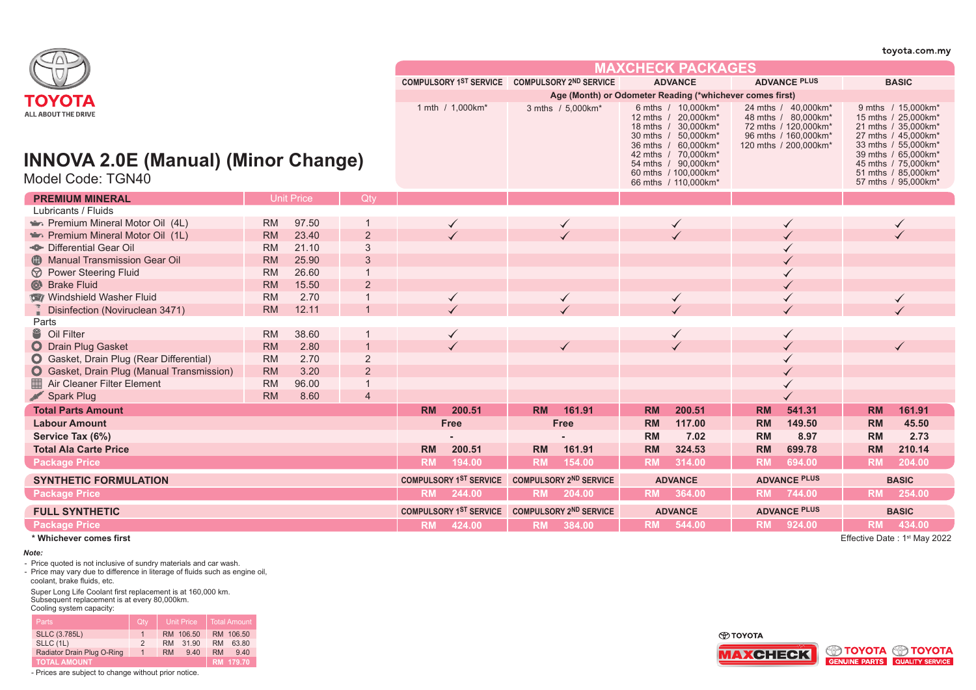|                                                                   |           |                   |                               |                               |                               |                               |                                                          |                                                                                                                                                                                       |                      |                                                                                                                     |                     |                                                                                                                                                                                       | toyota.com.my       |
|-------------------------------------------------------------------|-----------|-------------------|-------------------------------|-------------------------------|-------------------------------|-------------------------------|----------------------------------------------------------|---------------------------------------------------------------------------------------------------------------------------------------------------------------------------------------|----------------------|---------------------------------------------------------------------------------------------------------------------|---------------------|---------------------------------------------------------------------------------------------------------------------------------------------------------------------------------------|---------------------|
|                                                                   |           |                   |                               |                               |                               |                               |                                                          |                                                                                                                                                                                       | MAXCHFCK PACKAGFS    |                                                                                                                     |                     |                                                                                                                                                                                       |                     |
|                                                                   |           |                   |                               |                               |                               |                               | COMPULSORY 1ST SERVICE COMPULSORY 2ND SERVICE            |                                                                                                                                                                                       | <b>ADVANCE</b>       |                                                                                                                     | <b>ADVANCE PLUS</b> |                                                                                                                                                                                       | <b>BASIC</b>        |
| TOYOTA                                                            |           |                   |                               |                               |                               |                               | Age (Month) or Odometer Reading (*whichever comes first) |                                                                                                                                                                                       |                      |                                                                                                                     |                     |                                                                                                                                                                                       |                     |
| ALL ABOUT THE DRIVE<br><b>INNOVA 2.0E (Manual) (Minor Change)</b> |           |                   |                               | 1 mth / 1,000km*              |                               | 3 mths / 5,000km*             |                                                          | 6 mths / 10,000 km*<br>12 mths / 20,000km*<br>18 mths / 30,000km*<br>30 mths / 50,000km*<br>36 mths / 60,000km*<br>42 mths / 70.000km*<br>54 mths / 90,000km*<br>60 mths / 100,000km* |                      | 24 mths / 40,000km*<br>48 mths / 80,000km*<br>72 mths / 120,000km*<br>96 mths / 160,000km*<br>120 mths / 200,000km* |                     | 9 mths / 15,000km*<br>15 mths / 25,000km*<br>21 mths / 35,000km*<br>27 mths / 45,000km*<br>33 mths / 55,000km*<br>39 mths / 65.000 km*<br>45 mths / 75,000 km*<br>51 mths / 85,000km* |                     |
| Model Code: TGN40                                                 |           |                   |                               |                               |                               |                               |                                                          |                                                                                                                                                                                       | 66 mths / 110,000km* |                                                                                                                     |                     |                                                                                                                                                                                       | 57 mths / 95,000km* |
| <b>PREMIUM MINERAL</b>                                            |           | <b>Unit Price</b> | Qtv                           |                               |                               |                               |                                                          |                                                                                                                                                                                       |                      |                                                                                                                     |                     |                                                                                                                                                                                       |                     |
| Lubricants / Fluids                                               |           |                   |                               |                               |                               |                               |                                                          |                                                                                                                                                                                       |                      |                                                                                                                     |                     |                                                                                                                                                                                       |                     |
| Premium Mineral Motor Oil (4L)                                    | <b>RM</b> | 97.50             |                               |                               |                               |                               |                                                          |                                                                                                                                                                                       |                      |                                                                                                                     |                     |                                                                                                                                                                                       |                     |
| Premium Mineral Motor Oil (1L)                                    | <b>RM</b> | 23.40             | $\overline{2}$                |                               |                               |                               |                                                          |                                                                                                                                                                                       |                      |                                                                                                                     |                     |                                                                                                                                                                                       |                     |
| Differential Gear Oil                                             | <b>RM</b> | 21.10             | 3                             |                               |                               |                               |                                                          |                                                                                                                                                                                       |                      |                                                                                                                     |                     |                                                                                                                                                                                       |                     |
| <b>B</b> Manual Transmission Gear Oil                             | <b>RM</b> | 25.90             | 3                             |                               |                               |                               |                                                          |                                                                                                                                                                                       |                      |                                                                                                                     |                     |                                                                                                                                                                                       |                     |
| <b>D</b> Power Steering Fluid                                     | <b>RM</b> | 26.60             | $\overline{\mathbf{1}}$       |                               |                               |                               |                                                          |                                                                                                                                                                                       |                      |                                                                                                                     |                     |                                                                                                                                                                                       |                     |
| Strake Fluid                                                      | <b>RM</b> | 15.50             | 2                             |                               |                               |                               |                                                          |                                                                                                                                                                                       |                      |                                                                                                                     |                     |                                                                                                                                                                                       |                     |
| Windshield Washer Fluid                                           | <b>RM</b> | 2.70              |                               |                               | ✓                             |                               |                                                          |                                                                                                                                                                                       | $\checkmark$         |                                                                                                                     |                     |                                                                                                                                                                                       | $\checkmark$        |
| Disinfection (Noviruclean 3471)                                   | <b>RM</b> | 12.11             |                               |                               |                               |                               |                                                          |                                                                                                                                                                                       |                      |                                                                                                                     |                     |                                                                                                                                                                                       |                     |
| Parts                                                             |           |                   |                               |                               |                               |                               |                                                          |                                                                                                                                                                                       |                      |                                                                                                                     |                     |                                                                                                                                                                                       |                     |
| <sup>2</sup> Oil Filter                                           | <b>RM</b> | 38.60             |                               |                               | $\checkmark$                  |                               |                                                          |                                                                                                                                                                                       | ✓                    |                                                                                                                     |                     |                                                                                                                                                                                       |                     |
| O Drain Plug Gasket                                               | <b>RM</b> | 2.80              |                               |                               |                               |                               |                                                          |                                                                                                                                                                                       |                      |                                                                                                                     |                     |                                                                                                                                                                                       |                     |
| <b>O</b> Gasket, Drain Plug (Rear Differential)                   | <b>RM</b> | 2.70              | 2                             |                               |                               |                               |                                                          |                                                                                                                                                                                       |                      |                                                                                                                     |                     |                                                                                                                                                                                       |                     |
| <b>O</b> Gasket, Drain Plug (Manual Transmission)                 | <b>RM</b> | 3.20              | $\overline{2}$                |                               |                               |                               |                                                          |                                                                                                                                                                                       |                      |                                                                                                                     |                     |                                                                                                                                                                                       |                     |
| Air Cleaner Filter Element                                        | <b>RM</b> | 96.00             | $\overline{1}$                |                               |                               |                               |                                                          |                                                                                                                                                                                       |                      |                                                                                                                     |                     |                                                                                                                                                                                       |                     |
| Spark Plug                                                        | <b>RM</b> | 8.60              | $\overline{4}$                |                               |                               |                               |                                                          |                                                                                                                                                                                       |                      |                                                                                                                     |                     |                                                                                                                                                                                       |                     |
| <b>Total Parts Amount</b>                                         |           |                   |                               | <b>RM</b>                     | 200.51                        | <b>RM</b>                     | 161.91                                                   | <b>RM</b>                                                                                                                                                                             | 200.51               | <b>RM</b>                                                                                                           | 541.31              | <b>RM</b>                                                                                                                                                                             | 161.91              |
| <b>Labour Amount</b>                                              |           |                   |                               |                               | <b>Free</b>                   |                               | Free                                                     | <b>RM</b>                                                                                                                                                                             | 117.00               | <b>RM</b>                                                                                                           | 149.50              | <b>RM</b>                                                                                                                                                                             | 45.50               |
| Service Tax (6%)                                                  |           |                   |                               |                               |                               |                               |                                                          | RM                                                                                                                                                                                    | 7.02                 | <b>RM</b>                                                                                                           | 8.97                | RM                                                                                                                                                                                    | 2.73                |
| <b>Total Ala Carte Price</b>                                      |           |                   |                               | <b>RM</b>                     | 200.51                        | <b>RM</b>                     | 161.91                                                   | <b>RM</b>                                                                                                                                                                             | 324.53               | <b>RM</b>                                                                                                           | 699.78              | <b>RM</b>                                                                                                                                                                             | 210.14              |
| <b>Package Price</b>                                              |           |                   |                               | <b>RM</b>                     | 194.00                        | <b>RM</b>                     | 154.00                                                   | <b>RM</b>                                                                                                                                                                             | 314.00               | <b>RM</b>                                                                                                           | 694.00              | <b>RM</b>                                                                                                                                                                             | 204.00              |
| <b>SYNTHETIC FORMULATION</b>                                      |           |                   |                               | <b>COMPULSORY 1ST SERVICE</b> |                               | <b>COMPULSORY 2ND SERVICE</b> | <b>ADVANCE</b>                                           |                                                                                                                                                                                       | <b>ADVANCE PLUS</b>  |                                                                                                                     |                     | <b>BASIC</b>                                                                                                                                                                          |                     |
| <b>Package Price</b>                                              |           |                   |                               |                               | RM 244.00                     |                               | RM 204.00                                                |                                                                                                                                                                                       | RM 364.00            | <b>RM</b>                                                                                                           | 744.00              | <b>RM</b>                                                                                                                                                                             | 254.00              |
| <b>FULL SYNTHETIC</b>                                             |           |                   | <b>COMPULSORY 1ST SERVICE</b> |                               | <b>COMPULSORY 2ND SERVICE</b> |                               | <b>ADVANCE</b>                                           |                                                                                                                                                                                       | <b>ADVANCE PLUS</b>  |                                                                                                                     | <b>BASIC</b>        |                                                                                                                                                                                       |                     |
| <b>Package Price</b>                                              |           |                   |                               |                               | RM 424.00                     | <b>RM</b>                     | 384.00                                                   |                                                                                                                                                                                       | RM 544.00            |                                                                                                                     | RM 924.00           |                                                                                                                                                                                       | RM 434.00           |

### **\* Whichever comes first**

## *Note:*

- Price quoted is not inclusive of sundry materials and car wash.

- Price may vary due to difference in literage of fluids such as engine oil, coolant, brake fluids, etc.

Super Long Life Coolant first replacement is at 160,000 km. Subsequent replacement is at every 80,000km. Cooling system capacity:

| <b>Parts</b>               | Qty            | <b>Unit Price</b>  | <b>Total Amount</b> |
|----------------------------|----------------|--------------------|---------------------|
| <b>SLLC (3.785L)</b>       |                | RM 106.50          | RM 106.50           |
| SLLC (1L)                  | $\mathcal{P}$  | 31.90<br><b>RM</b> | <b>RM</b><br>63.80  |
| Radiator Drain Plug O-Ring | $\overline{1}$ | 9.40<br><b>RM</b>  | <b>RM</b><br>940    |
| <b>TOTAL AMOUNT</b>        |                |                    | RM 179.70           |

- Prices are subject to change without prior notice.





Effective Date: 1<sup>st</sup> May 2022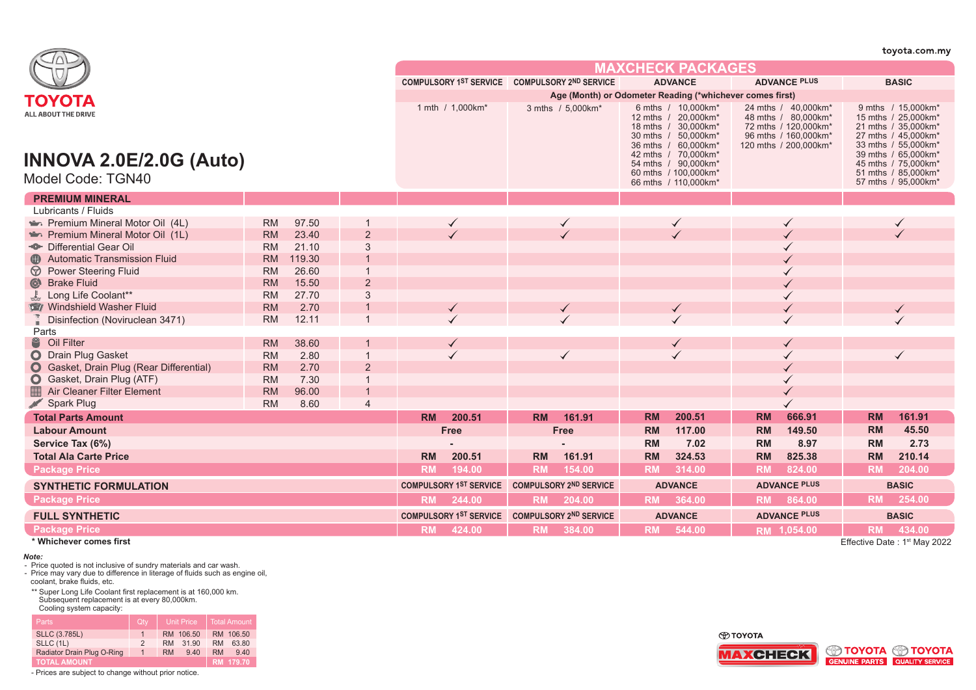|                                                                                             |           |        |                                               |                                               |                                               |           |                                                          |           |                                                                                                                                                                                                                |           |                                                                                                                      |              | toyota.com.my                                                                                                                                                                                              |
|---------------------------------------------------------------------------------------------|-----------|--------|-----------------------------------------------|-----------------------------------------------|-----------------------------------------------|-----------|----------------------------------------------------------|-----------|----------------------------------------------------------------------------------------------------------------------------------------------------------------------------------------------------------------|-----------|----------------------------------------------------------------------------------------------------------------------|--------------|------------------------------------------------------------------------------------------------------------------------------------------------------------------------------------------------------------|
|                                                                                             |           |        |                                               | <b>MAXCHECK PACKAGES</b>                      |                                               |           |                                                          |           |                                                                                                                                                                                                                |           |                                                                                                                      |              |                                                                                                                                                                                                            |
|                                                                                             |           |        |                                               |                                               | COMPULSORY 1ST SERVICE COMPULSORY 2ND SERVICE |           |                                                          |           | <b>ADVANCE</b>                                                                                                                                                                                                 |           | <b>ADVANCE PLUS</b>                                                                                                  |              | <b>BASIC</b>                                                                                                                                                                                               |
|                                                                                             |           |        |                                               |                                               |                                               |           | Age (Month) or Odometer Reading (*whichever comes first) |           |                                                                                                                                                                                                                |           |                                                                                                                      |              |                                                                                                                                                                                                            |
| ΤΟΥΟΤΑ<br><b>ALL ABOUT THE DRIVE</b><br><b>INNOVA 2.0E/2.0G (Auto)</b><br>Model Code: TGN40 |           |        |                                               |                                               | 1 mth / 1,000km*                              |           | 3 mths / 5,000km*                                        |           | 6 mths / 10,000 km*<br>12 mths / 20,000km*<br>18 mths / 30.000 km*<br>30 mths / 50,000km*<br>36 mths / 60,000km*<br>42 mths / 70.000km*<br>54 mths / 90.000km*<br>60 mths / 100,000km*<br>66 mths / 110,000km* |           | 24 mths / 40,000 km*<br>48 mths / 80,000km*<br>72 mths / 120,000km*<br>96 mths / 160,000km*<br>120 mths / 200,000km* |              | 9 mths / 15,000km*<br>15 mths / 25,000km*<br>21 mths / 35,000km*<br>27 mths / 45,000km*<br>33 mths / 55,000km*<br>39 mths / 65,000km*<br>45 mths / 75,000km*<br>51 mths / 85,000km*<br>57 mths / 95,000km* |
| <b>PREMIUM MINERAL</b>                                                                      |           |        |                                               |                                               |                                               |           |                                                          |           |                                                                                                                                                                                                                |           |                                                                                                                      |              |                                                                                                                                                                                                            |
| Lubricants / Fluids                                                                         |           |        |                                               |                                               |                                               |           |                                                          |           |                                                                                                                                                                                                                |           |                                                                                                                      |              |                                                                                                                                                                                                            |
| Premium Mineral Motor Oil (4L)                                                              | <b>RM</b> | 97.50  |                                               |                                               |                                               |           |                                                          |           |                                                                                                                                                                                                                |           |                                                                                                                      |              |                                                                                                                                                                                                            |
| Premium Mineral Motor Oil (1L)                                                              | <b>RM</b> | 23.40  | $\overline{2}$                                |                                               |                                               |           |                                                          |           |                                                                                                                                                                                                                |           |                                                                                                                      |              |                                                                                                                                                                                                            |
| - <sup>®</sup> Differential Gear Oil                                                        | <b>RM</b> | 21.10  | 3                                             |                                               |                                               |           |                                                          |           |                                                                                                                                                                                                                |           |                                                                                                                      |              |                                                                                                                                                                                                            |
| <b>Automatic Transmission Fluid</b>                                                         | <b>RM</b> | 119.30 |                                               |                                               |                                               |           |                                                          |           |                                                                                                                                                                                                                |           |                                                                                                                      |              |                                                                                                                                                                                                            |
| <b>D</b> Power Steering Fluid                                                               | <b>RM</b> | 26.60  |                                               |                                               |                                               |           |                                                          |           |                                                                                                                                                                                                                |           |                                                                                                                      |              |                                                                                                                                                                                                            |
| Strake Fluid                                                                                | <b>RM</b> | 15.50  | $\overline{2}$                                |                                               |                                               |           |                                                          |           |                                                                                                                                                                                                                |           |                                                                                                                      |              |                                                                                                                                                                                                            |
| Long Life Coolant**                                                                         | <b>RM</b> | 27.70  | 3                                             |                                               |                                               |           |                                                          |           |                                                                                                                                                                                                                |           |                                                                                                                      |              |                                                                                                                                                                                                            |
| Windshield Washer Fluid                                                                     | <b>RM</b> | 2.70   |                                               |                                               |                                               |           |                                                          |           |                                                                                                                                                                                                                |           |                                                                                                                      |              |                                                                                                                                                                                                            |
| Disinfection (Noviruclean 3471)                                                             | <b>RM</b> | 12.11  |                                               |                                               |                                               |           |                                                          |           |                                                                                                                                                                                                                |           |                                                                                                                      |              |                                                                                                                                                                                                            |
| Parts                                                                                       |           |        |                                               |                                               |                                               |           |                                                          |           |                                                                                                                                                                                                                |           |                                                                                                                      |              |                                                                                                                                                                                                            |
| S Oil Filter                                                                                | <b>RM</b> | 38.60  |                                               |                                               |                                               |           |                                                          |           |                                                                                                                                                                                                                |           |                                                                                                                      |              |                                                                                                                                                                                                            |
| O Drain Plug Gasket                                                                         | <b>RM</b> | 2.80   |                                               |                                               |                                               |           | $\checkmark$                                             |           |                                                                                                                                                                                                                |           |                                                                                                                      |              |                                                                                                                                                                                                            |
| <b>O</b> Gasket, Drain Plug (Rear Differential)                                             | <b>RM</b> | 2.70   | $\overline{2}$                                |                                               |                                               |           |                                                          |           |                                                                                                                                                                                                                |           |                                                                                                                      |              |                                                                                                                                                                                                            |
| Gasket, Drain Plug (ATF)                                                                    | <b>RM</b> | 7.30   |                                               |                                               |                                               |           |                                                          |           |                                                                                                                                                                                                                |           |                                                                                                                      |              |                                                                                                                                                                                                            |
| ■<br><b>Air Cleaner Filter Element</b>                                                      | <b>RM</b> | 96.00  |                                               |                                               |                                               |           |                                                          |           |                                                                                                                                                                                                                |           |                                                                                                                      |              |                                                                                                                                                                                                            |
| Spark Plug                                                                                  | <b>RM</b> | 8.60   | $\overline{4}$                                |                                               |                                               |           |                                                          |           |                                                                                                                                                                                                                |           |                                                                                                                      |              |                                                                                                                                                                                                            |
| <b>Total Parts Amount</b>                                                                   |           |        |                                               | <b>RM</b>                                     | 200.51                                        | <b>RM</b> | 161.91                                                   | <b>RM</b> | 200.51                                                                                                                                                                                                         | <b>RM</b> | 666.91                                                                                                               | <b>RM</b>    | 161.91                                                                                                                                                                                                     |
| <b>Labour Amount</b>                                                                        |           |        |                                               |                                               | <b>Free</b>                                   |           | Free                                                     | <b>RM</b> | 117.00                                                                                                                                                                                                         | <b>RM</b> | 149.50                                                                                                               | <b>RM</b>    | 45.50                                                                                                                                                                                                      |
| Service Tax (6%)                                                                            |           |        |                                               |                                               |                                               |           |                                                          | RM        | 7.02                                                                                                                                                                                                           | <b>RM</b> | 8.97                                                                                                                 | RM           | 2.73                                                                                                                                                                                                       |
| <b>Total Ala Carte Price</b>                                                                |           |        |                                               | <b>RM</b>                                     | 200.51                                        | <b>RM</b> | 161.91                                                   | <b>RM</b> | 324.53                                                                                                                                                                                                         | <b>RM</b> | 825.38                                                                                                               | <b>RM</b>    | 210.14                                                                                                                                                                                                     |
| <b>Package Price</b>                                                                        |           |        |                                               | <b>RM</b>                                     | 194.00                                        | <b>RM</b> | 154.00                                                   | <b>RM</b> | 314.00                                                                                                                                                                                                         | <b>RM</b> | 824.00                                                                                                               | <b>RM</b>    | 204.00                                                                                                                                                                                                     |
| <b>SYNTHETIC FORMULATION</b>                                                                |           |        | COMPULSORY 1ST SERVICE COMPULSORY 2ND SERVICE |                                               |                                               |           | <b>ADVANCE</b>                                           |           | <b>ADVANCE PLUS</b>                                                                                                                                                                                            |           | <b>BASIC</b>                                                                                                         |              |                                                                                                                                                                                                            |
| <b>Package Price</b>                                                                        |           |        | <b>RM</b>                                     | 244.00                                        | <b>RM</b>                                     | 204.00    |                                                          | RM 364.00 | <b>RM</b>                                                                                                                                                                                                      | 864.00    | <b>RM</b>                                                                                                            | 254.00       |                                                                                                                                                                                                            |
| <b>FULL SYNTHETIC</b>                                                                       |           |        |                                               | COMPULSORY 1ST SERVICE COMPULSORY 2ND SERVICE |                                               |           | <b>ADVANCE</b>                                           |           | <b>ADVANCE PLUS</b>                                                                                                                                                                                            |           |                                                                                                                      | <b>BASIC</b> |                                                                                                                                                                                                            |
| <b>Package Price</b>                                                                        |           |        |                                               | <b>RM</b>                                     | 424.00                                        | <b>RM</b> | 384.00                                                   | <b>RM</b> | 544.00                                                                                                                                                                                                         |           | RM 1,054.00                                                                                                          | <b>RM</b>    | 434.00                                                                                                                                                                                                     |
| * Whichever comes first                                                                     |           |        |                                               |                                               |                                               |           |                                                          |           |                                                                                                                                                                                                                |           |                                                                                                                      |              | Effective Date: 1st May 2022                                                                                                                                                                               |

## *Note:*

- Price quoted is not inclusive of sundry materials and car wash.

- Price may vary due to difference in literage of fluids such as engine oil, coolant, brake fluids, etc.

\*\* Super Long Life Coolant first replacement is at 160,000 km. Subsequent replacement is at every 80,000km. Cooling system capacity:

| <b>Parts</b>               | Qtv           | <b>Unit Price</b>  | <b>Total Amount</b> |
|----------------------------|---------------|--------------------|---------------------|
| <b>SLLC (3.785L)</b>       |               | RM 106.50          | RM 106.50           |
| SLLC (1L)                  | $\mathcal{P}$ | 31.90<br><b>RM</b> | 63.80<br><b>RM</b>  |
| Radiator Drain Plug O-Ring | $\mathbf{1}$  | <b>RM</b><br>9.40  | <b>RM</b><br>940    |
| TOTAL AMOUNT'              |               |                    | RM 179.70           |

- Prices are subject to change without prior notice.